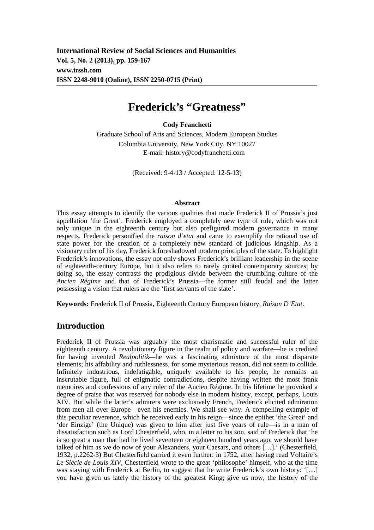**International Review of Social Sciences and Humanities Vol. 5, No. 2 (2013), pp. 159-167 www.irssh.com ISSN 2248-9010 (Online), ISSN 2250-0715 (Print)** 

# **Frederick's "Greatness"**

#### **Cody Franchetti**

Graduate School of Arts and Sciences, Modern European Studies Columbia University, New York City, NY 10027 E-mail: history@codyfranchetti.com

(Received: 9-4-13 / Accepted: 12-5-13)

#### **Abstract**

This essay attempts to identify the various qualities that made Frederick II of Prussia's just appellation 'the Great'. Frederick employed a completely new type of rule, which was not only unique in the eighteenth century but also prefigured modern governance in many respects. Frederick personified the *raison d'etat* and came to exemplify the rational use of state power for the creation of a completely new standard of judicious kingship. As a visionary ruler of his day, Frederick foreshadowed modern principles of the state. To highlight Frederick's innovations, the essay not only shows Frederick's brilliant leadership in the scene of eighteenth-century Europe, but it also refers to rarely quoted contemporary sources; by doing so, the essay contrasts the prodigious divide between the crumbling culture of the *Ancien Régime* and that of Frederick's Prussia—the former still feudal and the latter possessing a vision that rulers are the 'first servants of the state'.

**Keywords:** Frederick II of Prussia, Eighteenth Century European history, *Raison D'Etat*.

## **Introduction**

Frederick II of Prussia was arguably the most charismatic and successful ruler of the eighteenth century. A revolutionary figure in the realm of policy and warfare—he is credited for having invented *Realpolitik—*he was a fascinating admixture of the most disparate elements; his affability and ruthlessness, for some mysterious reason, did not seem to collide. Infinitely industrious, indefatigable, uniquely available to his people, he remains an inscrutable figure, full of enigmatic contradictions, despite having written the most frank memoires and confessions of any ruler of the Ancien Régime. In his lifetime he provoked a degree of praise that was reserved for nobody else in modern history, except, perhaps, Louis XIV. But while the latter's admirers were exclusively French, Frederick elicited admiration from men all over Europe—even his enemies. We shall see why. A compelling example of this peculiar reverence, which he received early in his reign—since the epithet 'the Great' and 'der Einzige' (the Unique) was given to him after just five years of rule—is in a man of dissatisfaction such as Lord Chesterfield, who, in a letter to his son, said of Frederick that 'he is so great a man that had he lived seventeen or eighteen hundred years ago, we should have talked of him as we do now of your Alexanders, your Caesars, and others […].' (Chesterfield, 1932, p.2262-3) But Chesterfield carried it even further: in 1752, after having read Voltaire's *Le Siècle de Louis XIV*, Chesterfield wrote to the great 'philosophe' himself, who at the time was staying with Frederick at Berlin, to suggest that he write Frederick's own history: '[...] you have given us lately the history of the greatest King; give us now, the history of the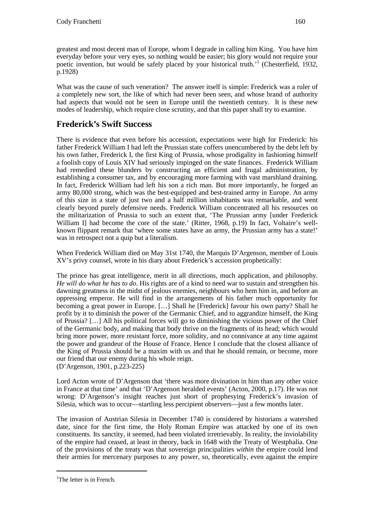greatest and most decent man of Europe, whom I degrade in calling him King. You have him everyday before your very eyes, so nothing would be easier; his glory would not require your poetic invention, but would be safely placed by your historical truth.<sup>1</sup> (Chesterfield, 1932, p.1928)

What was the cause of such veneration? The answer itself is simple: Frederick was a ruler of a completely new sort, the like of which had never been seen, and whose brand of authority had aspects that would not be seen in Europe until the twentieth century. It is these new modes of leadership, which require close scrutiny, and that this paper shall try to examine.

# **Frederick's Swift Success**

There is evidence that even before his accession, expectations were high for Frederick: his father Frederick William I had left the Prussian state coffers unencumbered by the debt left by his own father, Frederick I, the first King of Prussia, whose prodigality in fashioning himself a foolish copy of Louis XIV had seriously impinged on the state finances. Frederick William had remedied these blunders by constructing an efficient and frugal administration, by establishing a consumer tax, and by encouraging more farming with vast marshland draining. In fact, Frederick William had left his son a rich man. But more importantly, he forged an army 80,000 strong, which was the best-equipped and best-trained army in Europe. An army of this size in a state of just two and a half million inhabitants was remarkable, and went clearly beyond purely defensive needs. Frederick William concentrated all his resources on the militarization of Prussia to such an extent that, 'The Prussian army [under Frederick William I] had become the core of the state.' (Ritter, 1968, p.19) In fact, Voltaire's wellknown flippant remark that 'where some states have an army, the Prussian army has a state!' was in retrospect not a quip but a literalism.

When Frederick William died on May 31st 1740, the Marquis D'Argenson, member of Louis XV's privy counsel, wrote in his diary about Frederick's accession prophetically:

The prince has great intelligence, merit in all directions, much application, and philosophy. *He will do what he has to do*. His rights are of a kind to need war to sustain and strengthen his dawning greatness in the midst of jealous enemies, neighbours who hem him in, and before an oppressing emperor. He will find in the arrangements of his father much opportunity for becoming a great power in Europe. […] Shall he [Frederick] favour his own party? Shall he profit by it to diminish the power of the Germanic Chief, and to aggrandize himself, the King of Prussia? […] All his political forces will go to diminishing the vicious power of the Chief of the Germanic body, and making that body thrive on the fragments of its head; which would bring more power, more resistant force, more solidity, and no connivance at any time against the power and grandeur of the House of France. Hence I conclude that the closest alliance of the King of Prussia should be a maxim with us and that he should remain, or become, more our friend that our enemy during his whole reign. (D'Argenson, 1901, p.223-225)

Lord Acton wrote of D'Argenson that 'there was more divination in him than any other voice in France at that time' and that 'D'Argenson heralded events' (Acton, 2000, p.17). He was not wrong: D'Argenson's insight reaches just short of prophesying Frederick's invasion of Silesia, which was to occur—startling less percipient observers—just a few months later.

The invasion of Austrian Silesia in December 1740 is considered by historians a watershed date, since for the first time, the Holy Roman Empire was attacked by one of its own constituents. Its sanctity, it seemed, had been violated irretrievably. In reality, the inviolability of the empire had ceased, at least in theory, back in 1648 with the Treaty of Westphalia. One of the provisions of the treaty was that sovereign principalities *within* the empire could lend their armies for mercenary purposes to any power, so, theoretically, even against the empire

 $\overline{a}$ 

 $<sup>1</sup>$ The letter is in French.</sup>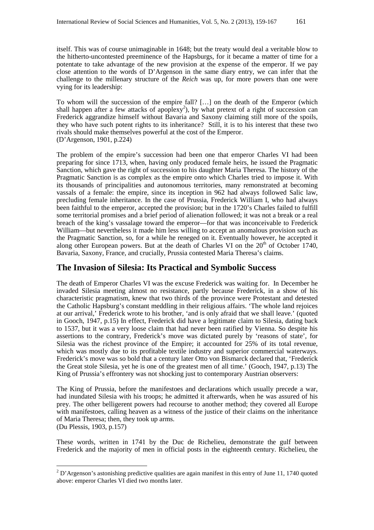itself. This was of course unimaginable in 1648; but the treaty would deal a veritable blow to the hitherto-uncontested preeminence of the Hapsburgs, for it became a matter of time for a potentate to take advantage of the new provision at the expense of the emperor. If we pay close attention to the words of D'Argenson in the same diary entry, we can infer that the challenge to the millenary structure of the *Reich* was up, for more powers than one were vying for its leadership:

To whom will the succession of the empire fall? […] on the death of the Emperor (which shall happen after a few attacks of apoplexy<sup>2</sup>), by what pretext of a right of succession can Frederick aggrandize himself without Bavaria and Saxony claiming still more of the spoils, they who have such potent rights to its inheritance? Still, it is to his interest that these two rivals should make themselves powerful at the cost of the Emperor. (D'Argenson, 1901, p.224)

The problem of the empire's succession had been one that emperor Charles VI had been preparing for since 1713, when, having only produced female heirs, he issued the Pragmatic Sanction, which gave the right of succession to his daughter Maria Theresa. The history of the Pragmatic Sanction is as complex as the empire onto which Charles tried to impose it. With its thousands of principalities and autonomous territories, many remonstrated at becoming vassals of a female: the empire, since its inception in 962 had always followed Salic law, precluding female inheritance. In the case of Prussia, Frederick William I, who had always been faithful to the emperor, accepted the provision; but in the 1720's Charles failed to fulfill some territorial promises and a brief period of alienation followed; it was not a break or a real breach of the king's vassalage toward the emperor—for that was inconceivable to Frederick William—but nevertheless it made him less willing to accept an anomalous provision such as the Pragmatic Sanction, so, for a while he reneged on it. Eventually however, he accepted it along other European powers. But at the death of Charles VI on the  $20<sup>th</sup>$  of October 1740, Bavaria, Saxony, France, and crucially, Prussia contested Maria Theresa's claims.

#### **The Invasion of Silesia: Its Practical and Symbolic Success**

The death of Emperor Charles VI was the excuse Frederick was waiting for. In December he invaded Silesia meeting almost no resistance, partly because Frederick, in a show of his characteristic pragmatism, knew that two thirds of the province were Protestant and detested the Catholic Hapsburg's constant meddling in their religious affairs. 'The whole land rejoices at our arrival,' Frederick wrote to his brother, 'and is only afraid that we shall leave.' (quoted in Gooch, 1947, p.15) In effect, Frederick did have a legitimate claim to Silesia, dating back to 1537, but it was a very loose claim that had never been ratified by Vienna. So despite his assertions to the contrary, Frederick's move was dictated purely by 'reasons of state', for Silesia was the richest province of the Empire; it accounted for 25% of its total revenue, which was mostly due to its profitable textile industry and superior commercial waterways. Frederick's move was so bold that a century later Otto von Bismarck declared that, 'Frederick the Great stole Silesia, yet he is one of the greatest men of all time.' (Gooch, 1947, p.13) The King of Prussia's effrontery was not shocking just to contemporary Austrian observers:

The King of Prussia, before the manifestoes and declarations which usually precede a war, had inundated Silesia with his troops; he admitted it afterwards, when he was assured of his prey. The other belligerent powers had recourse to another method; they covered all Europe with manifestoes, calling heaven as a witness of the justice of their claims on the inheritance of Maria Theresa; then, they took up arms. (Du Plessis, 1903, p.157)

These words, written in 1741 by the Duc de Richelieu, demonstrate the gulf between Frederick and the majority of men in official posts in the eighteenth century. Richelieu, the

 $\overline{a}$ 

 $2^{2}$  D'Argenson's astonishing predictive qualities are again manifest in this entry of June 11, 1740 quoted above: emperor Charles VI died two months later.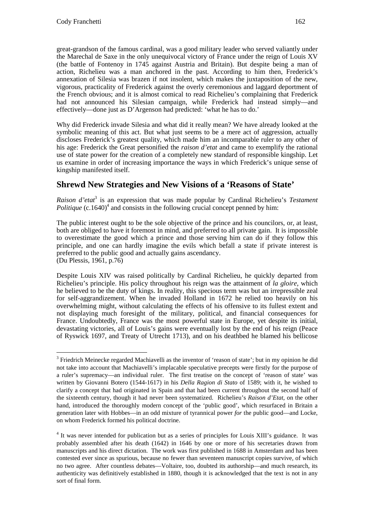l

great-grandson of the famous cardinal, was a good military leader who served valiantly under the Marechal de Saxe in the only unequivocal victory of France under the reign of Louis XV (the battle of Fontenoy in 1745 against Austria and Britain). But despite being a man of action, Richelieu was a man anchored in the past. According to him then, Frederick's annexation of Silesia was brazen if not insolent, which makes the juxtaposition of the new, vigorous, practicality of Frederick against the overly ceremonious and laggard deportment of the French obvious; and it is almost comical to read Richelieu's complaining that Frederick had not announced his Silesian campaign, while Frederick had instead simply—and effectively—done just as D'Argenson had predicted: 'what he has to do.'

Why did Frederick invade Silesia and what did it really mean? We have already looked at the symbolic meaning of this act. But what just seems to be a mere act of aggression, actually discloses Frederick's greatest quality, which made him an incomparable ruler to any other of his age: Frederick the Great personified the *raison d'etat* and came to exemplify the rational use of state power for the creation of a completely new standard of responsible kingship. Let us examine in order of increasing importance the ways in which Frederick's unique sense of kingship manifested itself.

# **Shrewd New Strategies and New Visions of a 'Reasons of State'**

Raison d'etat<sup>3</sup> is an expression that was made popular by Cardinal Richelieu's Testament *Politique*  $(c.1640)^4$  and consists in the following crucial concept penned by him:

The public interest ought to be the sole objective of the prince and his councilors, or, at least, both are obliged to have it foremost in mind, and preferred to all private gain. It is impossible to overestimate the good which a prince and those serving him can do if they follow this principle, and one can hardly imagine the evils which befall a state if private interest is preferred to the public good and actually gains ascendancy. (Du Plessis, 1961, p.76)

Despite Louis XIV was raised politically by Cardinal Richelieu, he quickly departed from Richelieu's principle. His policy throughout his reign was the attainment of *la gloire*, which he believed to be the duty of kings. In reality, this specious term was but an irrepressible zeal for self-aggrandizement. When he invaded Holland in 1672 he relied too heavily on his overwhelming might, without calculating the effects of his offensive to its fullest extent and not displaying much foresight of the military, political, and financial consequences for France. Undoubtedly, France was the most powerful state in Europe, yet despite its initial, devastating victories, all of Louis's gains were eventually lost by the end of his reign (Peace of Ryswick 1697, and Treaty of Utrecht 1713), and on his deathbed he blamed his bellicose

 $3$  Friedrich Meinecke regarded Machiavelli as the inventor of 'reason of state'; but in my opinion he did not take into account that Machiavelli's implacable speculative precepts were firstly for the purpose of a ruler's supremacy—an individual ruler. The first treatise on the concept of 'reason of state' was written by Giovanni Botero (1544-1617) in his *Della Ragion di Stato* of 1589; with it, he wished to clarify a concept that had originated in Spain and that had been current throughout the second half of the sixteenth century, though it had never been systematized. Richelieu's *Raison d'Etat*, on the other hand, introduced the thoroughly modern concept of the 'public good', which resurfaced in Britain a generation later with Hobbes—in an odd mixture of tyrannical power *for* the public good—and Locke, on whom Frederick formed his political doctrine.

<sup>&</sup>lt;sup>4</sup> It was never intended for publication but as a series of principles for Louis XIII's guidance. It was probably assembled after his death (1642) in 1646 by one or more of his secretaries drawn from manuscripts and his direct dictation. The work was first published in 1688 in Amsterdam and has been contested ever since as spurious, because no fewer than seventeen manuscript copies survive, of which no two agree. After countless debates—Voltaire, too, doubted its authorship—and much research, its authenticity was definitively established in 1880, though it is acknowledged that the text is not in any sort of final form.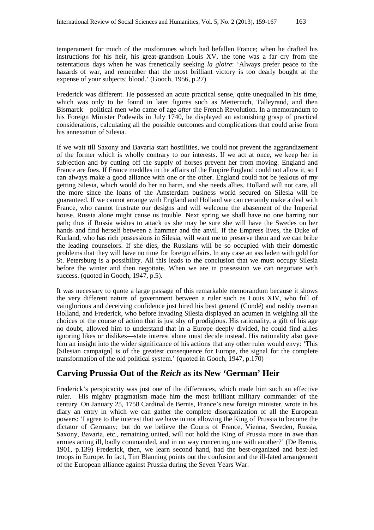temperament for much of the misfortunes which had befallen France; when he drafted his instructions for his heir, his great-grandson Louis XV, the tone was a far cry from the ostentatious days when he was frenetically seeking *la gloire*: 'Always prefer peace to the hazards of war, and remember that the most brilliant victory is too dearly bought at the expense of your subjects' blood.' (Gooch, 1956, p.27)

Frederick was different. He possessed an acute practical sense, quite unequalled in his time, which was only to be found in later figures such as Metternich, Talleyrand, and then Bismarck—political men who came of age *after* the French Revolution. In a memorandum to his Foreign Minister Podewils in July 1740, he displayed an astonishing grasp of practical considerations, calculating all the possible outcomes and complications that could arise from his annexation of Silesia.

If we wait till Saxony and Bavaria start hostilities, we could not prevent the aggrandizement of the former which is wholly contrary to our interests. If we act at once, we keep her in subjection and by cutting off the supply of horses prevent her from moving. England and France are foes. If France meddles in the affairs of the Empire England could not allow it, so I can always make a good alliance with one or the other. England could not be jealous of my getting Silesia, which would do her no harm, and she needs allies. Holland will not care, all the more since the loans of the Amsterdam business world secured on Silesia will be guaranteed. If we cannot arrange with England and Holland we can certainly make a deal with France, who cannot frustrate our designs and will welcome the abasement of the Imperial house. Russia alone might cause us trouble. Next spring we shall have no one barring our path; thus if Russia wishes to attack us she may be sure she will have the Swedes on her hands and find herself between a hammer and the anvil. If the Empress lives, the Duke of Kurland, who has rich possessions in Silesia, will want me to preserve them and we can bribe the leading counselors. If she dies, the Russians will be so occupied with their domestic problems that they will have no time for foreign affairs. In any case an ass laden with gold for St. Petersburg is a possibility. All this leads to the conclusion that we must occupy Silesia before the winter and then negotiate. When we are in possession we can negotiate with success. (quoted in Gooch, 1947, p.5).

It was necessary to quote a large passage of this remarkable memorandum because it shows the very different nature of government between a ruler such as Louis XIV, who full of vainglorious and deceiving confidence just hired his best general (Condé) and rashly overran Holland, and Frederick, who before invading Silesia displayed an acumen in weighing all the choices of the course of action that is just shy of prodigious. His rationality, a gift of his age no doubt, allowed him to understand that in a Europe deeply divided, he could find allies ignoring likes or dislikes—state interest alone must decide instead. His rationality also gave him an insight into the wider significance of his actions that any other ruler would envy: 'This [Silesian campaign] is of the greatest consequence for Europe, the signal for the complete transformation of the old political system.' (quoted in Gooch, 1947, p.170)

#### **Carving Prussia Out of the** *Reich* **as its New 'German' Heir**

Frederick's perspicacity was just one of the differences, which made him such an effective ruler. His mighty pragmatism made him the most brilliant military commander of the century. On January 25, 1758 Cardinal de Bernis, France's new foreign minister, wrote in his diary an entry in which we can gather the complete disorganization of all the European powers: 'I agree to the interest that we have in not allowing the King of Prussia to become the dictator of Germany; but do we believe the Courts of France, Vienna, Sweden, Russia, Saxony, Bavaria, etc., remaining united, will not hold the King of Prussia more in awe than armies acting ill, badly commanded, and in no way concerting one with another?' (De Bernis, 1901, p.139) Frederick, then, we learn second hand, had the best-organized and best-led troops in Europe. In fact, Tim Blanning points out the confusion and the ill-fated arrangement of the European alliance against Prussia during the Seven Years War.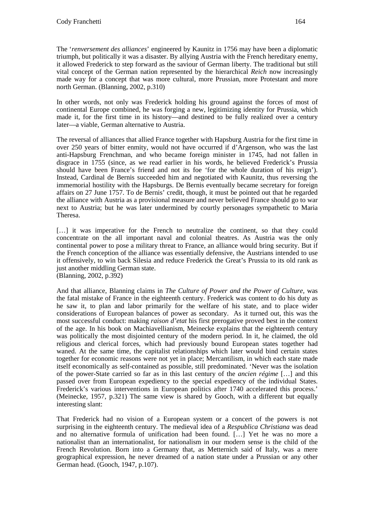The '*renversement des alliances*' engineered by Kaunitz in 1756 may have been a diplomatic triumph, but politically it was a disaster. By allying Austria with the French hereditary enemy, it allowed Frederick to step forward as the saviour of German liberty. The traditional but still vital concept of the German nation represented by the hierarchical *Reich* now increasingly made way for a concept that was more cultural, more Prussian, more Protestant and more north German. (Blanning, 2002, p.310)

In other words, not only was Frederick holding his ground against the forces of most of continental Europe combined, he was forging a new, legitimizing identity for Prussia, which made it, for the first time in its history—and destined to be fully realized over a century later—a viable, German alternative to Austria.

The reversal of alliances that allied France together with Hapsburg Austria for the first time in over 250 years of bitter enmity, would not have occurred if d'Argenson, who was the last anti-Hapsburg Frenchman, and who became foreign minister in 1745, had not fallen in disgrace in 1755 (since, as we read earlier in his words, he believed Frederick's Prussia should have been France's friend and not its foe 'for the whole duration of his reign'). Instead, Cardinal de Bernis succeeded him and negotiated with Kaunitz, thus reversing the immemorial hostility with the Hapsburgs. De Bernis eventually became secretary for foreign affairs on 27 June 1757. To de Bernis' credit, though, it must be pointed out that he regarded the alliance with Austria as a provisional measure and never believed France should go to war next to Austria; but he was later undermined by courtly personages sympathetic to Maria Theresa.

[...] it was imperative for the French to neutralize the continent, so that they could concentrate on the all important naval and colonial theatres. As Austria was the only continental power to pose a military threat to France, an alliance would bring security. But if the French conception of the alliance was essentially defensive, the Austrians intended to use it offensively, to win back Silesia and reduce Frederick the Great's Prussia to its old rank as just another middling German state. (Blanning, 2002, p.392)

And that alliance, Blanning claims in *The Culture of Power and the Power of Culture,* was the fatal mistake of France in the eighteenth century. Frederick was content to do his duty as he saw it, to plan and labor primarily for the welfare of his state, and to place wider considerations of European balances of power as secondary. As it turned out, this was the most successful conduct: making *raison d'etat* his first prerogative proved best in the context of the age. In his book on Machiavellianism, Meinecke explains that the eighteenth century was politically the most disjointed century of the modern period. In it, he claimed, the old religious and clerical forces, which had previously bound European states together had waned. At the same time, the capitalist relationships which later would bind certain states together for economic reasons were not yet in place; Mercantilism, in which each state made itself economically as self-contained as possible, still predominated. 'Never was the isolation of the power-State carried so far as in this last century of the *ancien régime* […] and this passed over from European expediency to the special expediency of the individual States. Frederick's various interventions in European politics after 1740 accelerated this process.' (Meinecke, 1957, p.321) The same view is shared by Gooch, with a different but equally interesting slant:

That Frederick had no vision of a European system or a concert of the powers is not surprising in the eighteenth century. The medieval idea of a *Respublica Christiana* was dead and no alternative formula of unification had been found. […] Yet he was no more a nationalist than an internationalist, for nationalism in our modern sense is the child of the French Revolution. Born into a Germany that, as Metternich said of Italy, was a mere geographical expression, he never dreamed of a nation state under a Prussian or any other German head. (Gooch, 1947, p.107).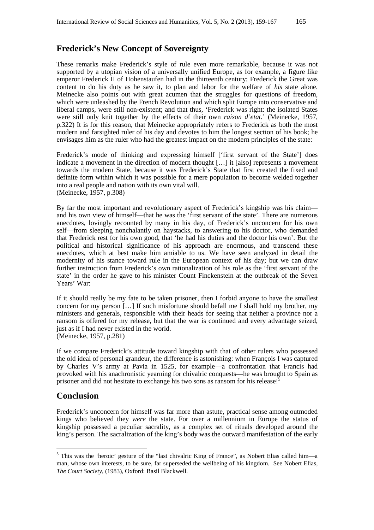### **Frederick's New Concept of Sovereignty**

These remarks make Frederick's style of rule even more remarkable, because it was not supported by a utopian vision of a universally unified Europe, as for example, a figure like emperor Frederick II of Hohenstaufen had in the thirteenth century; Frederick the Great was content to do his duty as he saw it, to plan and labor for the welfare of *his* state alone. Meinecke also points out with great acumen that the struggles for questions of freedom, which were unleashed by the French Revolution and which split Europe into conservative and liberal camps, were still non-existent; and that thus, 'Frederick was right: the isolated States were still only knit together by the effects of their own *raison d'etat*.' (Meinecke, 1957, p.322) It is for this reason, that Meinecke appropriately refers to Frederick as both the most modern and farsighted ruler of his day and devotes to him the longest section of his book; he envisages him as the ruler who had the greatest impact on the modern principles of the state:

Frederick's mode of thinking and expressing himself ['first servant of the State'] does indicate a movement in the direction of modern thought […] it [also] represents a movement towards the modern State, because it was Frederick's State that first created the fixed and definite form within which it was possible for a mere population to become welded together into a real people and nation with its own vital will. (Meinecke, 1957, p.308)

By far the most important and revolutionary aspect of Frederick's kingship was his claim and his own view of himself—that he was the 'first servant of the state'. There are numerous anecdotes, lovingly recounted by many in his day, of Frederick's unconcern for his own self—from sleeping nonchalantly on haystacks, to answering to his doctor, who demanded that Frederick rest for his own good, that 'he had his duties and the doctor his own'. But the political and historical significance of his approach are enormous, and transcend these anecdotes, which at best make him amiable to us. We have seen analyzed in detail the modernity of his stance toward rule in the European context of his day; but we can draw further instruction from Frederick's own rationalization of his role as the 'first servant of the state' in the order he gave to his minister Count Finckenstein at the outbreak of the Seven Years' War:

If it should really be my fate to be taken prisoner, then I forbid anyone to have the smallest concern for my person […] If such misfortune should befall me I shall hold my brother, my ministers and generals, responsible with their heads for seeing that neither a province nor a ransom is offered for my release, but that the war is continued and every advantage seized, just as if I had never existed in the world. (Meinecke, 1957, p.281)

If we compare Frederick's attitude toward kingship with that of other rulers who possessed the old ideal of personal grandeur, the difference is astonishing: when François I was captured by Charles V's army at Pavia in 1525, for example—a confrontation that Francis had provoked with his anachronistic yearning for chivalric conquests—he was brought to Spain as prisoner and did not hesitate to exchange his two sons as ransom for his release!<sup>5</sup>

#### **Conclusion**

 $\overline{a}$ 

Frederick's unconcern for himself was far more than astute, practical sense among outmoded kings who believed they *were* the state. For over a millennium in Europe the status of kingship possessed a peculiar sacrality, as a complex set of rituals developed around the king's person. The sacralization of the king's body was the outward manifestation of the early

 $<sup>5</sup>$  This was the 'heroic' gesture of the "last chivalric King of France", as Nobert Elias called him—a</sup> man, whose own interests, to be sure, far superseded the wellbeing of his kingdom. See Nobert Elias, *The Court Society*, (1983), Oxford: Basil Blackwell.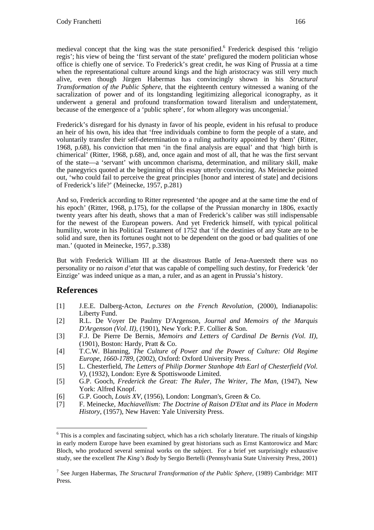medieval concept that the king was the state personified.<sup>6</sup> Frederick despised this 'religio regis'; his view of being the 'first servant of the state' prefigured the modern politician whose office is chiefly one of service. To Frederick's great credit, he *was* King of Prussia at a time when the representational culture around kings and the high aristocracy was still very much alive, even though Jürgen Habermas has convincingly shown in his *Structural Transformation of the Public Sphere,* that the eighteenth century witnessed a waning of the sacralization of power and of its longstanding legitimizing allegorical iconography, as it underwent a general and profound transformation toward literalism and understatement, because of the emergence of a 'public sphere', for whom allegory was uncongenial.<sup>7</sup>

Frederick's disregard for his dynasty in favor of his people, evident in his refusal to produce an heir of his own, his idea that 'free individuals combine to form the people of a state, and voluntarily transfer their self-determination to a ruling authority appointed by them' (Ritter, 1968, p.68), his conviction that men 'in the final analysis are equal' and that 'high birth is chimerical' (Ritter, 1968, p.68), and, once again and most of all, that he was the first servant of the state—a 'servant' with uncommon charisma, determination, and military skill, make the panegyrics quoted at the beginning of this essay utterly convincing. As Meinecke pointed out, 'who could fail to perceive the great principles [honor and interest of state] and decisions of Frederick's life?' (Meinecke, 1957, p.281)

And so, Frederick according to Ritter represented 'the apogee and at the same time the end of his epoch' (Ritter, 1968, p.175), for the collapse of the Prussian monarchy in 1806, exactly twenty years after his death, shows that a man of Frederick's caliber was still indispensable for the newest of the European powers. And yet Frederick himself, with typical political humility, wrote in his Political Testament of 1752 that 'if the destinies of any State are to be solid and sure, then its fortunes ought not to be dependent on the good or bad qualities of one man.' (quoted in Meinecke, 1957, p.338)

But with Frederick William III at the disastrous Battle of Jena-Auerstedt there was no personality or no *raison d'etat* that was capable of compelling such destiny, for Frederick 'der Einzige' was indeed unique as a man, a ruler, and as an agent in Prussia's history.

## **References**

 $\overline{a}$ 

- [1] J.E.E. Dalberg-Acton, *Lectures on the French Revolution*, (2000), Indianapolis: Liberty Fund.
- [2] R.L. De Voyer De Paulmy D'Argenson, *Journal and Memoirs of the Marquis D'Argenson (Vol. II)*, (1901), New York: P.F. Collier & Son.
- [3] F.J. De Pierre De Bernis, *Memoirs and Letters of Cardinal De Bernis (Vol. II)*, (1901), Boston: Hardy, Pratt & Co.
- [4] T.C.W. Blanning, *The Culture of Power and the Power of Culture: Old Regime Europe, 1660-1789*, (2002), Oxford: Oxford University Press.
- [5] L. Chesterfield, *The Letters of Philip Dormer Stanhope 4th Earl of Chesterfield (Vol. V)*, (1932), London: Eyre & Spottiswoode Limited.
- [5] G.P. Gooch, *Frederick the Great: The Ruler, The Writer, The Man*, (1947), New York: Alfred Knopf.
- [6] G.P. Gooch, *Louis XV*, (1956), London: Longman's, Green & Co.
- [7] F. Meinecke, *Machiavellism: The Doctrine of Raison D'Etat and its Place in Modern History*, (1957), New Haven: Yale University Press.

<sup>&</sup>lt;sup>6</sup> This is a complex and fascinating subject, which has a rich scholarly literature. The rituals of kingship in early modern Europe have been examined by great historians such as Ernst Kantorowicz and Marc Bloch, who produced several seminal works on the subject. For a brief yet surprisingly exhaustive study, see the excellent *The King's Body* by Sergio Bertelli (Pennsylvania State University Press, 2001)

<sup>7</sup> See Jurgen Habermas, *The Structural Transformation of the Public Sphere*, (1989) Cambridge: MIT Press.